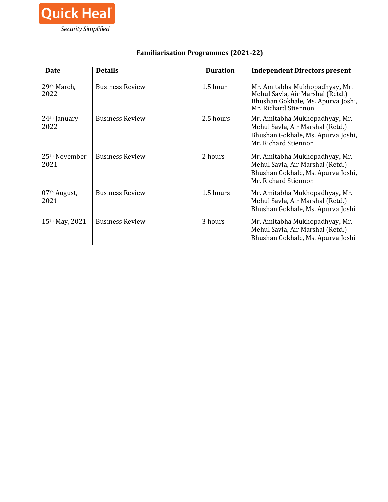

## **Familiarisation Programmes (2021-22)**

| <b>Date</b>                       | <b>Details</b>         | <b>Duration</b> | <b>Independent Directors present</b>                                                                                             |
|-----------------------------------|------------------------|-----------------|----------------------------------------------------------------------------------------------------------------------------------|
| 29th March,<br>2022               | <b>Business Review</b> | 1.5 hour        | Mr. Amitabha Mukhopadhyay, Mr.<br>Mehul Savla, Air Marshal (Retd.)<br>Bhushan Gokhale, Ms. Apurva Joshi,<br>Mr. Richard Stiennon |
| 24 <sup>th</sup> January<br>2022  | <b>Business Review</b> | 2.5 hours       | Mr. Amitabha Mukhopadhyay, Mr.<br>Mehul Savla, Air Marshal (Retd.)<br>Bhushan Gokhale, Ms. Apurva Joshi,<br>Mr. Richard Stiennon |
| 25 <sup>th</sup> November<br>2021 | <b>Business Review</b> | 2 hours         | Mr. Amitabha Mukhopadhyay, Mr.<br>Mehul Savla, Air Marshal (Retd.)<br>Bhushan Gokhale, Ms. Apurva Joshi,<br>Mr. Richard Stiennon |
| 07 <sup>th</sup> August,<br>2021  | <b>Business Review</b> | 1.5 hours       | Mr. Amitabha Mukhopadhyay, Mr.<br>Mehul Savla, Air Marshal (Retd.)<br>Bhushan Gokhale, Ms. Apurva Joshi                          |
| 15th May, 2021                    | <b>Business Review</b> | 3 hours         | Mr. Amitabha Mukhopadhyay, Mr.<br>Mehul Savla, Air Marshal (Retd.)<br>Bhushan Gokhale, Ms. Apurva Joshi                          |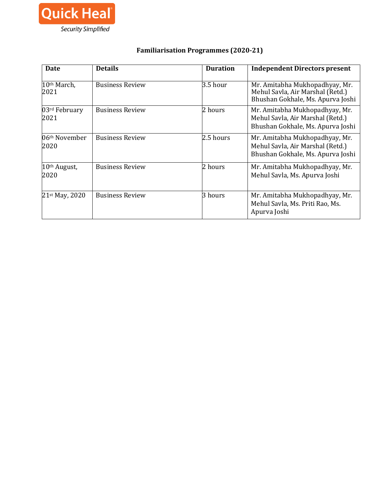

# **Familiarisation Programmes (2020-21)**

| <b>Date</b>                       | <b>Details</b>         | <b>Duration</b> | <b>Independent Directors present</b>                                                                    |
|-----------------------------------|------------------------|-----------------|---------------------------------------------------------------------------------------------------------|
| 10 <sup>th</sup> March,<br>2021   | <b>Business Review</b> | 3.5 hour        | Mr. Amitabha Mukhopadhyay, Mr.<br>Mehul Savla, Air Marshal (Retd.)<br>Bhushan Gokhale, Ms. Apurva Joshi |
| 03rd February<br>2021             | <b>Business Review</b> | 2 hours         | Mr. Amitabha Mukhopadhyay, Mr.<br>Mehul Savla, Air Marshal (Retd.)<br>Bhushan Gokhale, Ms. Apurva Joshi |
| 06 <sup>th</sup> November<br>2020 | <b>Business Review</b> | 2.5 hours       | Mr. Amitabha Mukhopadhyay, Mr.<br>Mehul Savla, Air Marshal (Retd.)<br>Bhushan Gokhale, Ms. Apurva Joshi |
| 10th August,<br>2020              | <b>Business Review</b> | 2 hours         | Mr. Amitabha Mukhopadhyay, Mr.<br>Mehul Savla, Ms. Apurva Joshi                                         |
| 21st May, 2020                    | <b>Business Review</b> | 3 hours         | Mr. Amitabha Mukhopadhyay, Mr.<br>Mehul Savla, Ms. Priti Rao, Ms.<br>Apurva Joshi                       |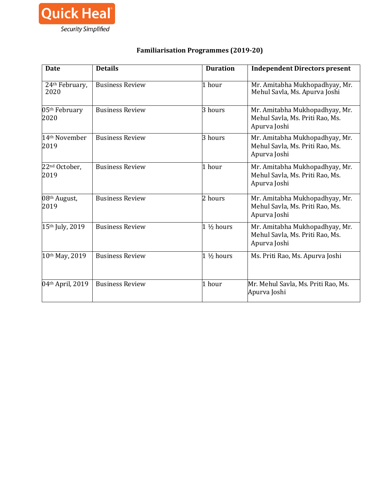

# **Familiarisation Programmes (2019-20)**

| <b>Date</b>                       | <b>Details</b>         | <b>Duration</b>      | <b>Independent Directors present</b>                                              |
|-----------------------------------|------------------------|----------------------|-----------------------------------------------------------------------------------|
| 24th February,<br>2020            | <b>Business Review</b> | 1 hour               | Mr. Amitabha Mukhopadhyay, Mr.<br>Mehul Savla, Ms. Apurva Joshi                   |
| 05 <sup>th</sup> February<br>2020 | <b>Business Review</b> | 3 hours              | Mr. Amitabha Mukhopadhyay, Mr.<br>Mehul Savla, Ms. Priti Rao, Ms.<br>Apurva Joshi |
| 14 <sup>th</sup> November<br>2019 | <b>Business Review</b> | 3 hours              | Mr. Amitabha Mukhopadhyay, Mr.<br>Mehul Savla, Ms. Priti Rao, Ms.<br>Apurva Joshi |
| 22 <sup>nd</sup> October,<br>2019 | <b>Business Review</b> | 1 hour               | Mr. Amitabha Mukhopadhyay, Mr.<br>Mehul Savla, Ms. Priti Rao, Ms.<br>Apurva Joshi |
| 08th August,<br>2019              | <b>Business Review</b> | 2 hours              | Mr. Amitabha Mukhopadhyay, Mr.<br>Mehul Savla, Ms. Priti Rao, Ms.<br>Apurva Joshi |
| 15th July, 2019                   | <b>Business Review</b> | $1\frac{1}{2}$ hours | Mr. Amitabha Mukhopadhyay, Mr.<br>Mehul Savla, Ms. Priti Rao, Ms.<br>Apurva Joshi |
| 10th May, 2019                    | <b>Business Review</b> | $1\frac{1}{2}$ hours | Ms. Priti Rao, Ms. Apurva Joshi                                                   |
| 04th April, 2019                  | <b>Business Review</b> | 1 hour               | Mr. Mehul Savla, Ms. Priti Rao, Ms.<br>Apurva Joshi                               |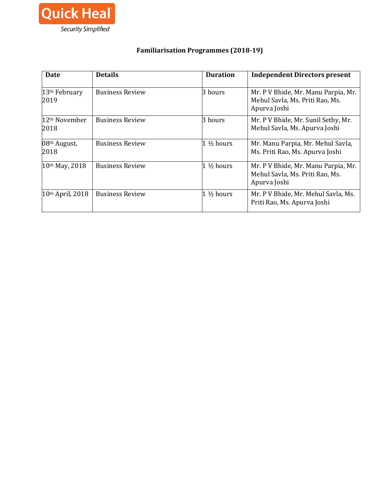

# **Familiarisation Programmes (2018-19)**

| <b>Date</b>                       | <b>Details</b>         | <b>Duration</b>        | <b>Independent Directors present</b>                                                   |
|-----------------------------------|------------------------|------------------------|----------------------------------------------------------------------------------------|
| 13 <sup>th</sup> February<br>2019 | <b>Business Review</b> | 3 hours                | Mr. P V Bhide, Mr. Manu Parpia, Mr.<br>Mehul Savla, Ms. Priti Rao, Ms.<br>Apurva Joshi |
| 12th November<br>2018             | <b>Business Review</b> | 3 hours                | Mr. P V Bhide, Mr. Sunil Sethy, Mr.<br>Mehul Savla, Ms. Apurva Joshi                   |
| 08th August,<br>2018              | <b>Business Review</b> | $1\frac{1}{2}$ hours   | Mr. Manu Parpia, Mr. Mehul Savla,<br>Ms. Priti Rao, Ms. Apurva Joshi                   |
| 10th May, 2018                    | <b>Business Review</b> | $1\frac{1}{2}$ hours   | Mr. P V Bhide, Mr. Manu Parpia, Mr.<br>Mehul Savla, Ms. Priti Rao, Ms.<br>Apurva Joshi |
| 10th April, 2018                  | <b>Business Review</b> | $1\,\mathrm{\%}$ hours | Mr. P V Bhide, Mr. Mehul Savla, Ms.<br>Priti Rao, Ms. Apurva Joshi                     |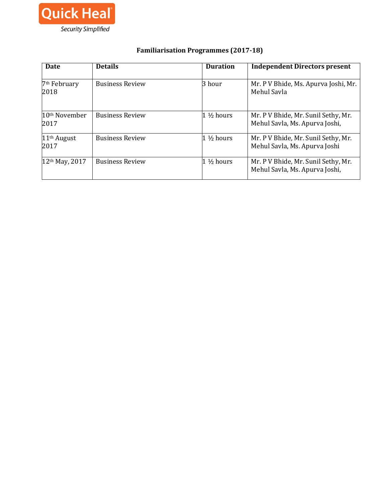

# **Familiarisation Programmes (2017-18)**

| Date                              | <b>Details</b>         | <b>Duration</b>      | <b>Independent Directors present</b>                                  |
|-----------------------------------|------------------------|----------------------|-----------------------------------------------------------------------|
| 7 <sup>th</sup> February<br>2018  | <b>Business Review</b> | 3 hour               | Mr. P V Bhide, Ms. Apurva Joshi, Mr.<br>Mehul Savla                   |
| 10 <sup>th</sup> November<br>2017 | <b>Business Review</b> | $1\frac{1}{2}$ hours | Mr. P V Bhide, Mr. Sunil Sethy, Mr.<br>Mehul Savla, Ms. Apurva Joshi, |
| $11th$ August<br>2017             | <b>Business Review</b> | $1\frac{1}{2}$ hours | Mr. P V Bhide, Mr. Sunil Sethy, Mr.<br>Mehul Savla, Ms. Apurva Joshi  |
| 12 <sup>th</sup> May, 2017        | <b>Business Review</b> | $1\frac{1}{2}$ hours | Mr. P V Bhide, Mr. Sunil Sethy, Mr.<br>Mehul Savla, Ms. Apurva Joshi, |